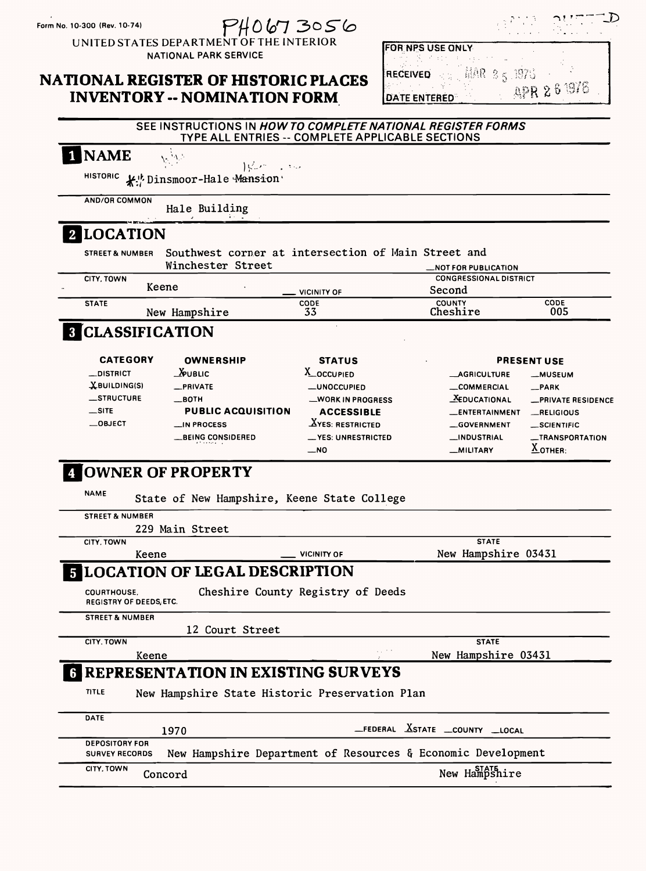

UNITED STATES DEPARTMENT OF THE INTERIOR NATIONAL PARK SERVICE

### **NATIONAL REGISTER OF HISTORIC PLACES INVENTORY -- NOMINATION FORM**



#### **SEE INSTRUCTIONS IN** *HOWTO COMPLETE NATIONAL REGISTER FORMS*  **TYPE ALL ENTRIES - COMPLETE APPLICABLE SECTIONS**

| <b>NAME</b>                 | $ \psi_{\mu\nu}\rangle$ , then                                           |                                              |                                              |                                |
|-----------------------------|--------------------------------------------------------------------------|----------------------------------------------|----------------------------------------------|--------------------------------|
| <b>HISTORIC</b>             | <b>K</b> <sup>t</sup> , Dinsmoor-Hale Mansion                            |                                              |                                              |                                |
| <b>AND/OR COMMON</b>        | Hale Building                                                            |                                              |                                              |                                |
| <b>LOCATION</b>             |                                                                          |                                              |                                              |                                |
| <b>STREET &amp; NUMBER</b>  | Southwest corner at intersection of Main Street and<br>Winchester Street |                                              | <b>_NOT FOR PUBLICATION</b>                  |                                |
| CITY, TOWN                  | Keene                                                                    | <b>VICINITY OF</b>                           | <b>CONGRESSIONAL DISTRICT</b><br>Second      |                                |
| <b>STATE</b>                | New Hampshire                                                            | <b>CODE</b><br>33                            | <b>COUNTY</b><br>Cheshire                    | <b>CODE</b><br>005             |
| <b>8 CLASSIFICATION</b>     |                                                                          |                                              |                                              |                                |
| <b>CATEGORY</b>             | <b>OWNERSHIP</b>                                                         | <b>STATUS</b>                                |                                              | <b>PRESENT USE</b>             |
| _DISTRICT                   | $\Delta$ PUBLIC                                                          | X_OCCUPIED                                   | <b>__AGRICULTURE</b>                         | <b>_MUSEUM</b>                 |
| XBUILDING(S)                | _PRIVATE                                                                 | <b>__UNOCCUPIED</b>                          | _COMMERCIAL                                  | $-$ PARK                       |
| _STRUCTURE<br>$\equiv$ SITE | $\equiv$ BOTH<br>PUBLIC ACQUISITION                                      | WORK IN PROGRESS                             | <b>XEDUCATIONAL</b>                          | -PRIVATE RESIDENCE             |
| $-$ OBJECT                  | $\blacksquare$ IN PROCESS                                                | <b>ACCESSIBLE</b><br><b>XYES: RESTRICTED</b> | <b>LENTERTAINMENT</b><br><b>__GOVERNMENT</b> | RELIGIOUS                      |
|                             | <b>BEING CONSIDERED</b>                                                  | _VES: UNRESTRICTED                           | _INDUSTRIAL                                  | _SCIENTIFIC<br>_TRANSPORTATION |
|                             | e formale a construction                                                 | $-NO$                                        | _MILITARY                                    | $\underline{X}$ OTHER:         |
|                             | <b>OWNER OF PROPERTY</b>                                                 |                                              |                                              |                                |
| <b>NAME</b>                 | State of New Hampshire, Keene State College                              |                                              |                                              |                                |
| <b>STREET &amp; NUMBER</b>  |                                                                          |                                              |                                              |                                |
|                             | 229 Main Street                                                          |                                              |                                              |                                |
| <b>CITY, TOWN</b>           |                                                                          |                                              | <b>STATE</b>                                 |                                |
| Keene                       |                                                                          | VICINITY OF                                  | New Hampshire 03431                          |                                |
|                             | 5 LOCATION OF LEGAL DESCRIPTION                                          |                                              |                                              |                                |
| <b>COURTHOUSE,</b>          |                                                                          | Cheshire County Registry of Deeds            |                                              |                                |

REGISTRY OF DEEDS, ETC

STREET & NUMBER

12 Court Street

|                                                | IS CONTE OFTEEL                                |                                                                                |
|------------------------------------------------|------------------------------------------------|--------------------------------------------------------------------------------|
| CITY, TOWN                                     |                                                | <b>STATE</b>                                                                   |
| Keene                                          |                                                | $\mathcal{L}(\mathcal{A})$ , $\mathcal{A}(\mathcal{A})$<br>New Hampshire 03431 |
|                                                | <b>6 REPRESENTATION IN EXISTING SURVEYS</b>    |                                                                                |
| <b>TITLE</b>                                   | New Hampshire State Historic Preservation Plan |                                                                                |
| <b>DATE</b>                                    |                                                |                                                                                |
|                                                | 1970                                           | _FEDERAL <b>XSTATE</b> _COUNTY _LOCAL                                          |
| <b>DEPOSITORY FOR</b><br><b>SURVEY RECORDS</b> |                                                | New Hampshire Department of Resources & Economic Development                   |
| <b>CITY, TOWN</b>                              | Concord                                        | New Hampshire                                                                  |
|                                                |                                                |                                                                                |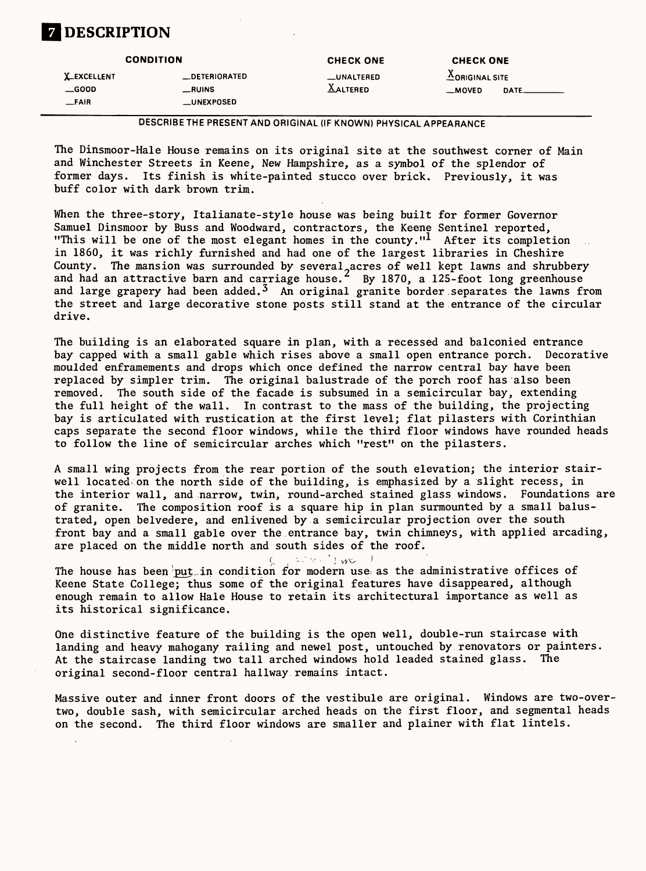### **] DESCRIPTION**

| <b>CONDITION</b>                    |                         | <b>CHECK ONE</b>              | <b>CHECK ONE</b>                                     |  |  |
|-------------------------------------|-------------------------|-------------------------------|------------------------------------------------------|--|--|
| <b>X_EXCELLENT</b><br>$\equiv$ GOOD | _DETERIORATED<br>_RUINS | _UNALTERED<br><b>AALTERED</b> | $\triangle$ ORIGINAL SITE<br>$-MOVED$<br><b>DATE</b> |  |  |
| FANR                                | $_{\_\_}$ UNEXPOSED     |                               |                                                      |  |  |

DESCRIBE THE PRESENT AND ORIGINAL (IF KNOWN) PHYSICAL APPEARANCE

The Dinsmoor-Hale House remains on its original site at the southwest corner of Main and Winchester Streets in Keene, New Hampshire, as a symbol of the splendor of former days. Its finish is white-painted stucco over brick. Previously, it was buff color with dark brown trim.

When the three-story, Italianate-style house was being built for former Governor Samuel Dinsmoor by Buss and Woodward, contractors, the Keene Sentinel reported, "This will be one of the most elegant homes in the county."<sup>1</sup> After its completion in 1860, it was richly furnished and had one of the largest libraries in Cheshire County. The mansion was surrounded by several, acres of well kept lawns and shrubbery and had an attractive barn and carriage house.<sup>2</sup> By 1870, a 125-foot long greenhouse and large grapery had been added.<sup>3</sup> An original granite border separates the lawns from the street and large decorative stone posts still stand at the entrance of the circular drive.

The house has been put in condition for modern use as the administrative offices of Keene State College; thus some of the original features have disappeared, although enough remain to allow Hale House to retain its architectural importance as well as its historical significance.

The building is an elaborated square in plan, with a recessed and balconied entrance bay capped with a small gable which rises above a small open entrance porch. Decorative moulded enframements and drops which once defined the narrow central bay have been replaced by simpler trim. The original balustrade of the porch roof has also been removed. The south side of the facade is subsumed in a semicircular bay, extending the full height of the wall. In contrast to the mass of the building, the projecting bay is articulated with rustication at the first level; flat pilasters with Corinthian caps separate the second floor windows, while the third floor windows have rounded heads to follow the line of semicircular arches which "rest" on the pilasters.

A small wing projects from the rear portion of the south elevation; the interior stairwell located on the north side of the building, is emphasized by a slight recess, in the interior wall, and narrow, twin, round-arched stained glass windows. Foundations are of granite. The composition roof is a square hip in plan surmounted by a small balustrated, open belvedere, and enlivened by a semicircular projection over the south front bay and a small gable over the entrance bay, twin chimneys, with applied arcading, are placed on the middle north and south sides of the roof.

 $r_{\rm e} \geq r_{\rm e} \geq r_{\rm e} \geq r_{\rm e}$ 

One distinctive feature of the building is the open well, double-run staircase with landing and heavy mahogany railing and newel post, untouched by renovators or painters. At the staircase landing two tall arched windows hold leaded stained glass. The original second-floor central hallway remains intact.

Massive outer and inner front doors of the vestibule are original. Windows are two-overtwo, double sash, with semicircular arched heads on the first floor, and segmental heads on the second. The third floor windows are smaller and plainer with flat lintels.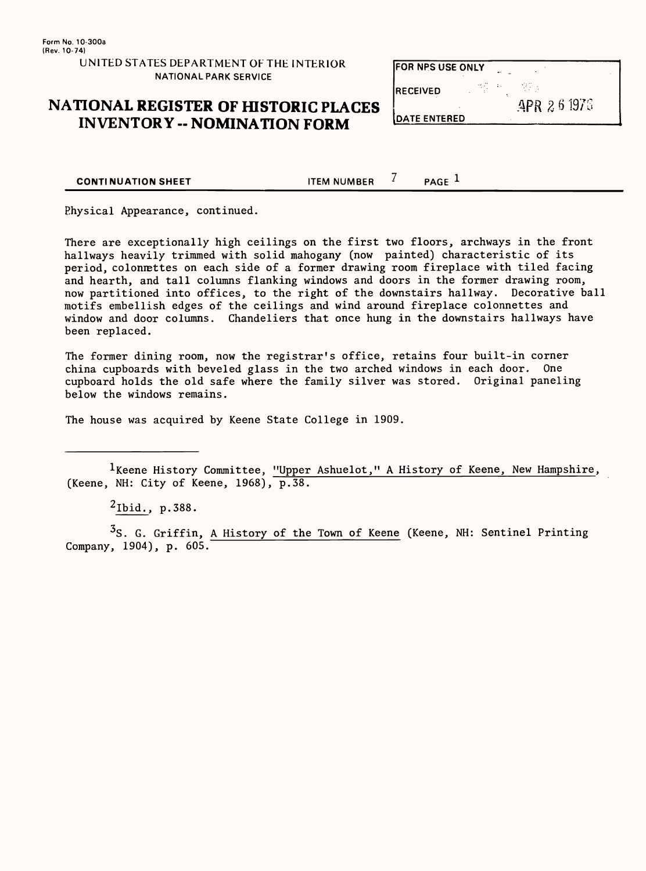| UNITED STATES DEPARTMENT OF THE INTERIOR |  |
|------------------------------------------|--|
| <b>NATIONAL PARK SERVICE</b>             |  |

### **NATIONAL REGISTER OF HISTORIC PLACES INVENTORY -- NOMINATION FORM**

| IFOR NPS USE ONLY   |  |            |
|---------------------|--|------------|
| <b>IRECEIVED</b>    |  |            |
| <b>DATE ENTERED</b> |  | APR 261976 |

**CONTINUATION SHEET** TEM NUMBER  $^7$  PAGE <sup>1</sup>

Physical Appearance, continued.

There are exceptionally high ceilings on the first two floors, archways in the front hallways heavily trimmed with solid mahogany (now painted) characteristic of its period, colonnettes on each side of a former drawing room fireplace with tiled facing and hearth, and tall columns flanking windows and doors in the former drawing room, now partitioned into offices, to the right of the downstairs hallway. Decorative ball motifs embellish edges of the ceilings and wind around fireplace colonnettes and window and door columns. Chandeliers that once hung in the downstairs hallways have been replaced.

 $3S.$  G. Griffin, A History of the Town of Keene (Keene, NH: Sentinel Printing Company, 1904), p. 605.

The former dining room, now the registrar's office, retains four built-in corner china cupboards with beveled glass in the two arched windows in each door. One cupboard holds the old safe where the family silver was stored. Original paneling below the windows remains.

The house was acquired by Keene State College in 1909.

<sup>1</sup>Keene History Committee, "Upper Ashuelot," A History of Keene, New Hampshire, (Keene, NH: City of Keene,  $1968$ ),  $\overline{p.38}$ .

 $^{2}$ Ibid., p.388.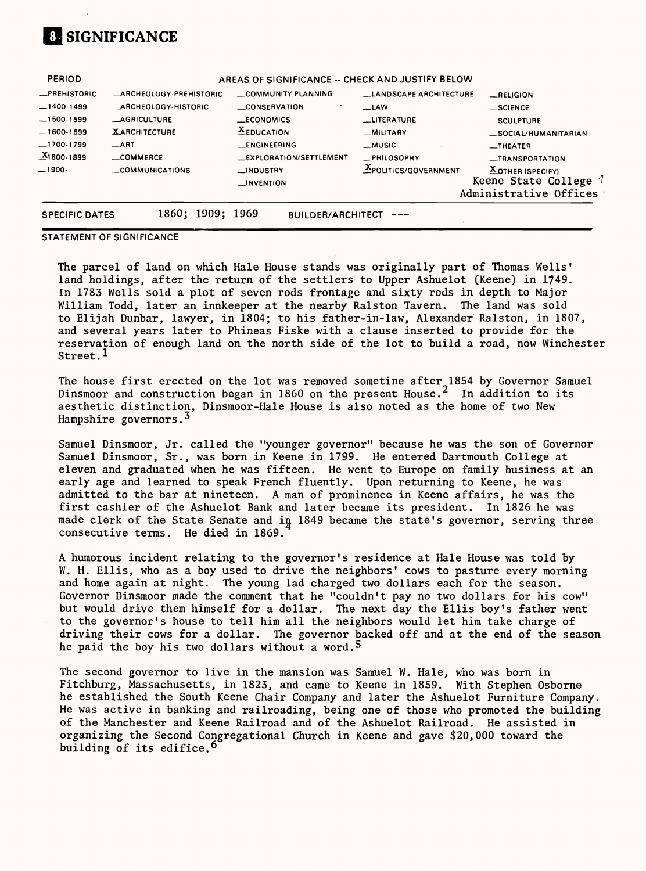# **SIGNIFICANCE**

| <b>PERIOD</b>         |                               | AREAS OF SIGNIFICANCE -- CHECK AND JUSTIFY BELOW |                             |                                                                             |
|-----------------------|-------------------------------|--------------------------------------------------|-----------------------------|-----------------------------------------------------------------------------|
| <b>_PREHISTORIC</b>   | <b>ARCHEOLOGY-PREHISTORIC</b> | COMMUNITY PLANNING                               | _LANDSCAPE ARCHITECTURE     | $R$ ELIGION                                                                 |
| $-1400-1499$          | _ARCHEOLOGY-HISTORIC          | <b>__CONSERVATION</b>                            | $-LAW$                      | $\_$ SCIENCE                                                                |
| $-1500-1599$          | <b>AGRICULTURE</b>            | _ECONOMICS                                       | __LITERATURE                | _SCULPTURE                                                                  |
| $-1600-1699$          | <b>XARCHITECTURE</b>          | $\underline{\mathbf{X}}$ EDUCATION               | _MILITARY                   | SOCIAL/HUMANITARIAN                                                         |
| $-1700-1799$          | $\equiv$ ART                  | _ENGINEERING                                     | __MUSIC                     | $\overline{\phantom{0}}$ THEATER                                            |
| $X_1800.1899$         | _COMMERCE                     | _EXPLORATION/SETTLEMENT                          | _PHILOSOPHY                 | _TRANSPORTATION                                                             |
| $-1900-$              | _COMMUNICATIONS               | _INDUSTRY<br>$\blacksquare$ INVENTION            | <b>XPOLITICS/GOVERNMENT</b> | $X$ OTHER (SPECIFY)<br>Keene State College $\ell$<br>Administrative Offices |
| <b>SPECIFIC DATES</b> | 1860; 1909; 1969              | <b>BUILDER/ARCHITECT</b>                         |                             |                                                                             |

The parcel of land on which Hale House stands was originally part of Thomas Wells' land holdings, after the return of the settlers to Upper Ashuelot (Keene) in 1749. In 1783 Wells sold a plot of seven rods frontage and sixty rods in depth to Major William Todd, later an innkeeper at the nearby Ralston Tavern. The land was sold to Elijah Dunbar, lawyer, in 1804; to his father-in-law, Alexander Ralston, in 1807, and several years later to Phineas Fiske with a clause inserted to provide for the reservation of enough land on the north side of the lot to build a road, now Winchester Street.<sup> $1$ </sup>

The house first erected on the lot was removed sometine after 1854 by Governor Samuel Dinsmoor and construction began in 1860 on the present House. $^{\text{2}}$  In addition to its aesthetic distinction, Dinsmoor-Hale House is also noted as the home of two New Hampshire governors.<sup>3</sup>

STATEMENT OF SIGNIFICANCE

A humorous incident relating to the governor's residence at Hale House was told by W. H. Ellis, who as a boy used to drive the neighbors' cows to pasture every morning and home again at night. The young lad charged two dollars each for the season. Governor Dinsmoor made the comment that he "couldn't pay no two dollars for his cow" but would drive them himself for a dollar. The next day the Ellis boy's father went to the governor's house to tell him all the neighbors would let him take charge of driving their cows for a dollar. The governor backed off and at the end of the season he paid the boy his two dollars without a word.<sup>5</sup>

The second governor to live in the mansion was Samuel W. Hale, who was born in Fitchburg, Massachusetts, in 1823, and came to Keene in 1859. With Stephen Osborne he established the South Keene Chair Company and later the Ashuelot Furniture Company. He was active in banking and railroading, being one of those who promoted the building of the Manchester and Keene Railroad and of the Ashuelot Railroad. He assisted in organizing the Second Congregational Church in Keene and gave \$20,000 toward the building of its edifice.<sup>6</sup>

Samuel Dinsmoor, Jr. called the "younger governor" because he was the son of Governor Samuel Dinsmoor, Sr., was born in Keene in 1799. He entered Dartmouth College at eleven and graduated when he was fifteen. He went to Europe on family business at an early age and learned to speak French fluently. Upon returning to Keene, he was admitted to the bar at nineteen. A man of prominence in Keene affairs, he was the first cashier of the Ashuelot Bank and later became its president. In 1826 he was made clerk of the State Senate and in 1849 became the state's governor, serving three consecutive terms. He died in 1869.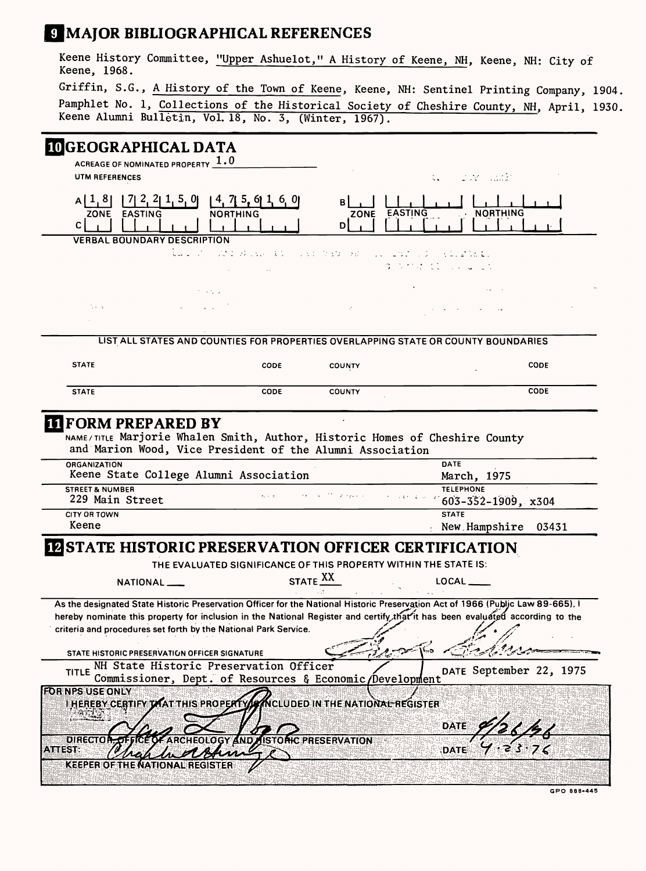# **MAJOR BIBLIOGRAPHICAL REFERENCES**

Keene History Committee, "Upper Ashuelot," A History of Keene, NH, Keene, NH: City of Keene, 1968. Griffin, S.G., A History of the Town of Keene, Keene, NH: Sentinel Printing Company, 1904. Pamphlet No. 1, Collections of the Historical Society of Cheshire County, NH, April, 1930. Keene Alumni Bulletin, Vol. 18, No. 3, (Winter, 1967).

## IMCFOCRAPHICAL DATA

|                                                             | ACREAGE OF NOMINATED PROPERTY $1.0$                                                                                                      |                                                                  |                                                                                                          |                                       |                                                                                            |
|-------------------------------------------------------------|------------------------------------------------------------------------------------------------------------------------------------------|------------------------------------------------------------------|----------------------------------------------------------------------------------------------------------|---------------------------------------|--------------------------------------------------------------------------------------------|
| UTM REFERENCES                                              |                                                                                                                                          |                                                                  |                                                                                                          |                                       | $\mathcal{L}_{\bullet}$ and $\mathcal{L}_{\bullet}$ are the set of $\mathcal{L}_{\bullet}$ |
| A[1, 8]<br> T <br>ZONE EASTING<br>$\mathsf{C}\mid$          | $2, 2$   1, 5, 0 <br><b>NORTHING</b>                                                                                                     | [4, 715, 61, 6, 0]                                               | $\mathbf{B}$<br><b>ZONE</b><br>DI                                                                        | <b>EASTING</b>                        | · NORTHING                                                                                 |
|                                                             | <b>VERBAL BOUNDARY DESCRIPTION</b>                                                                                                       |                                                                  |                                                                                                          |                                       |                                                                                            |
|                                                             |                                                                                                                                          | ing the right was an electronic with<br><b>Contract Contract</b> |                                                                                                          | <b>Contraction of the Contraction</b> |                                                                                            |
|                                                             | $\mathcal{F}^{\mathcal{G}}_{\mathcal{G}}$ , where $\mathcal{F}^{\mathcal{G}}_{\mathcal{G}}$                                              |                                                                  |                                                                                                          |                                       |                                                                                            |
| No. C                                                       | Andrew County                                                                                                                            |                                                                  | $\mathcal{L}^{\mathcal{L}}$                                                                              |                                       |                                                                                            |
|                                                             |                                                                                                                                          |                                                                  |                                                                                                          |                                       |                                                                                            |
|                                                             | LIST ALL STATES AND COUNTIES FOR PROPERTIES OVERLAPPING STATE OR COUNTY BOUNDARIES                                                       |                                                                  |                                                                                                          |                                       |                                                                                            |
| <b>STATE</b>                                                |                                                                                                                                          | <b>CODE</b>                                                      | <b>COUNTY</b>                                                                                            |                                       | <b>CODE</b>                                                                                |
|                                                             |                                                                                                                                          |                                                                  |                                                                                                          |                                       |                                                                                            |
| <b>STATE</b>                                                |                                                                                                                                          | <b>CODE</b>                                                      | <b>COUNTY</b>                                                                                            |                                       | <b>CODE</b>                                                                                |
| <b>TI FORM PREPARED BY</b>                                  | NAME/TITLE Marjorie Whalen Smith, Author, Historic Homes of Cheshire County<br>and Marion Wood, Vice President of the Alumni Association |                                                                  |                                                                                                          |                                       |                                                                                            |
| <b>ORGANIZATION</b>                                         | Keene State College Alumni Association                                                                                                   |                                                                  |                                                                                                          | <b>DATE</b>                           | March, 1975                                                                                |
| <b>STREET &amp; NUMBER</b><br>229 Main Street               |                                                                                                                                          | $\mathbf{r}_1$ , $\mathbf{r}_2$ , $\mathbf{r}_3$ ,               | $\mathcal{L}^{\text{max}}_{\text{max}}$ . The second contract of $\mathcal{L}^{\text{max}}_{\text{max}}$ | <b>TELEPHONE</b>                      | $603 - 352 - 1909$ , x304                                                                  |
| <b>CITY OR TOWN</b><br>Keene                                |                                                                                                                                          |                                                                  |                                                                                                          | <b>STATE</b>                          | New Hampshire<br>03431                                                                     |
| <b>IZ STATE HISTORIC PRESERVATION OFFICER CERTIFICATION</b> |                                                                                                                                          |                                                                  |                                                                                                          |                                       |                                                                                            |
|                                                             | THE EVALUATED SIGNIFICANCE OF THIS PROPERTY WITHIN THE STATE IS:                                                                         |                                                                  |                                                                                                          |                                       |                                                                                            |

As the designated State Historic Preservation Officer for the National Historic Preservation Act of 1966 (Public Law 89-665), I hereby nominate this property for inclusion in the National Register and certify that it has been evaluated according to the<br>criteria and procedures set forth by the National Park Service. criteria and procedures set forth by the National Park Service.



**GPO 888-445**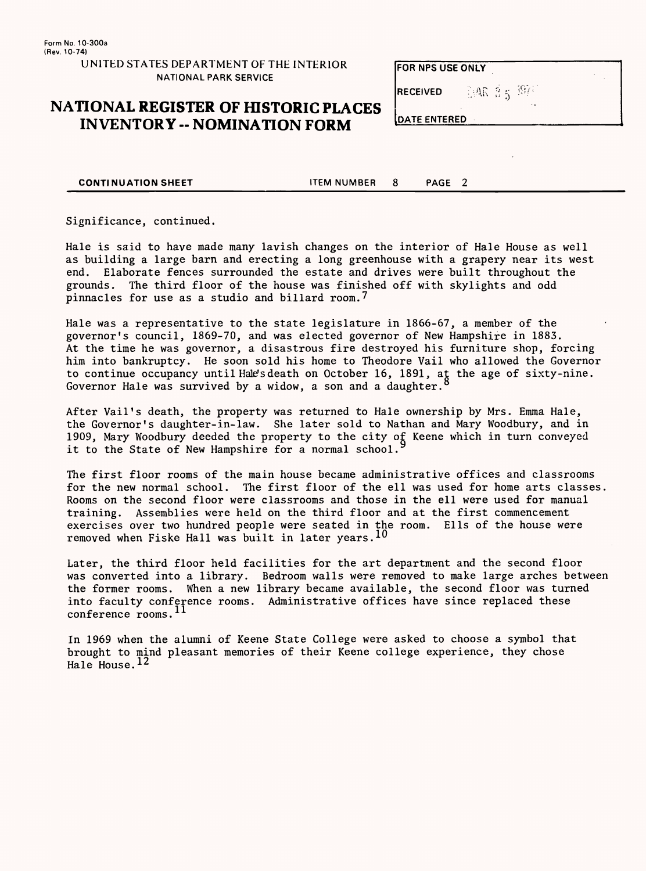Form No. 10-300a (Rev. 10-74)

> UNITED STATES DEPARTMENT OF THE INTERIOR NATIONAL PARK SERVICE

Hale is said to have made many lavish changes on the interior of Hale House as well as building a large barn and erecting a long greenhouse with a grapery near its west end. Elaborate fences surrounded the estate and drives were built throughout the grounds. The third floor of the house was finished off with skylights and odd pinnacles for use as a studio and billard room.<sup>7</sup>

#### **NATIONAL REGISTER OF HISTORIC PLACES INVENTORY -- NOMINATION FORM**

| FOR NPS USE ONLY |                         |  |
|------------------|-------------------------|--|
| <b>RECEIVED</b>  | $-1.46$ $3.5$ $^{49/2}$ |  |
| DATE ENTERED     |                         |  |

**CONTINUATION SHEET** TEM NUMBER 8 PAGE 2

Significance, continued.

Hale was a representative to the state legislature in 1866-67, a member of the governor's council, 1869-70, and was elected governor of New Hampshire in 1883. At the time he was governor, a disastrous fire destroyed his furniture shop, forcing him into bankruptcy. He soon sold his home to Theodore Vail who allowed the Governor to continue occupancy until Hale's death on October 16, 1891, at the age of sixty-nine. Governor Hale was survived by a widow, a son and a daughter.<sup>8</sup>

After Vail's death, the property was returned to Hale ownership by Mrs. Emma Hale, the Governor's daughter-in-law. She later sold to Nathan and Mary Woodbury, and in 1909, Mary Woodbury deeded the property to the city of Keene which in turn conveyed it to the State of New Hampshire for a normal school.

The first floor rooms of the main house became administrative offices and classrooms for the new normal school. The first floor of the ell was used for home arts classes. Rooms on the second floor were classrooms and those in the ell were used for manual training. Assemblies were held on the third floor and at the first commencement exercises over two hundred people were seated in the room. Ells of the house were removed when Fiske Hall was built in later years.  $10$ 

Later, the third floor held facilities for the art department and the second floor was converted into a library. Bedroom walls were removed to make large arches between the former rooms. When a new library became available, the second floor was turned into faculty conference rooms. Administrative offices have since replaced these conference rooms.<sup>11</sup>

In 1969 when the alumni of Keene State College were asked to choose a symbol that brought to mind pleasant memories of their Keene college experience, they chose Hale House.<sup>12</sup>